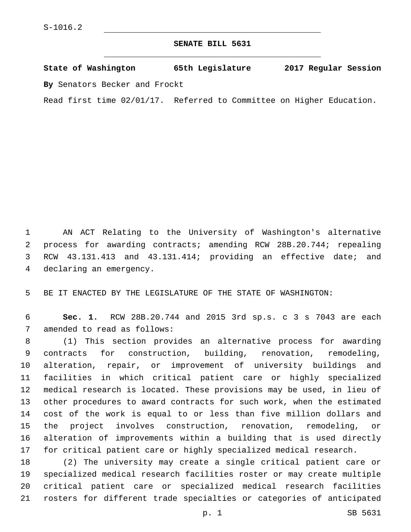## **SENATE BILL 5631**

**State of Washington 65th Legislature 2017 Regular Session**

**By** Senators Becker and Frockt

Read first time 02/01/17. Referred to Committee on Higher Education.

 AN ACT Relating to the University of Washington's alternative process for awarding contracts; amending RCW 28B.20.744; repealing RCW 43.131.413 and 43.131.414; providing an effective date; and 4 declaring an emergency.

BE IT ENACTED BY THE LEGISLATURE OF THE STATE OF WASHINGTON:

 **Sec. 1.** RCW 28B.20.744 and 2015 3rd sp.s. c 3 s 7043 are each 7 amended to read as follows:

 (1) This section provides an alternative process for awarding contracts for construction, building, renovation, remodeling, alteration, repair, or improvement of university buildings and facilities in which critical patient care or highly specialized medical research is located. These provisions may be used, in lieu of other procedures to award contracts for such work, when the estimated cost of the work is equal to or less than five million dollars and the project involves construction, renovation, remodeling, or alteration of improvements within a building that is used directly for critical patient care or highly specialized medical research.

 (2) The university may create a single critical patient care or specialized medical research facilities roster or may create multiple critical patient care or specialized medical research facilities rosters for different trade specialties or categories of anticipated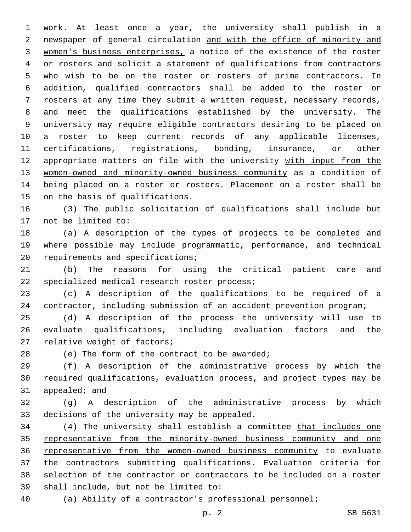work. At least once a year, the university shall publish in a newspaper of general circulation and with the office of minority and women's business enterprises, a notice of the existence of the roster or rosters and solicit a statement of qualifications from contractors who wish to be on the roster or rosters of prime contractors. In addition, qualified contractors shall be added to the roster or rosters at any time they submit a written request, necessary records, and meet the qualifications established by the university. The university may require eligible contractors desiring to be placed on a roster to keep current records of any applicable licenses, certifications, registrations, bonding, insurance, or other 12 appropriate matters on file with the university with input from the women-owned and minority-owned business community as a condition of being placed on a roster or rosters. Placement on a roster shall be 15 on the basis of qualifications.

 (3) The public solicitation of qualifications shall include but 17 not be limited to:

 (a) A description of the types of projects to be completed and where possible may include programmatic, performance, and technical 20 requirements and specifications;

 (b) The reasons for using the critical patient care and 22 specialized medical research roster process;

 (c) A description of the qualifications to be required of a contractor, including submission of an accident prevention program;

 (d) A description of the process the university will use to evaluate qualifications, including evaluation factors and the 27 relative weight of factors;

28 (e) The form of the contract to be awarded;

 (f) A description of the administrative process by which the required qualifications, evaluation process, and project types may be appealed; and

 (g) A description of the administrative process by which 33 decisions of the university may be appealed.

 (4) The university shall establish a committee that includes one representative from the minority-owned business community and one representative from the women-owned business community to evaluate the contractors submitting qualifications. Evaluation criteria for selection of the contractor or contractors to be included on a roster 39 shall include, but not be limited to:

(a) Ability of a contractor's professional personnel;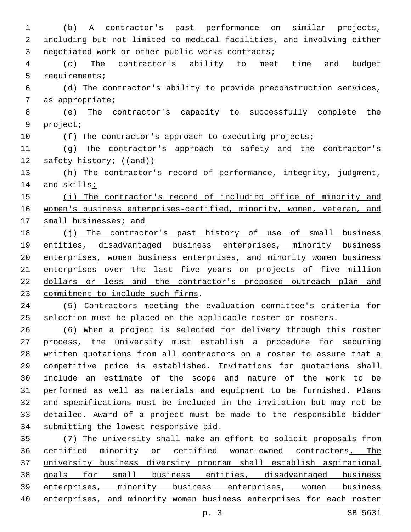(b) A contractor's past performance on similar projects, including but not limited to medical facilities, and involving either 3 negotiated work or other public works contracts;

 (c) The contractor's ability to meet time and budget 5 requirements;

 (d) The contractor's ability to provide preconstruction services, 7 as appropriate;

 (e) The contractor's capacity to successfully complete the 9 project;

10 (f) The contractor's approach to executing projects;

 (g) The contractor's approach to safety and the contractor's 12 safety history; ((and))

 (h) The contractor's record of performance, integrity, judgment, 14 and skills;

 (i) The contractor's record of including office of minority and women's business enterprises-certified, minority, women, veteran, and 17 small businesses; and

 (j) The contractor's past history of use of small business entities, disadvantaged business enterprises, minority business enterprises, women business enterprises, and minority women business enterprises over the last five years on projects of five million dollars or less and the contractor's proposed outreach plan and 23 commitment to include such firms.

 (5) Contractors meeting the evaluation committee's criteria for 25 selection must be placed on the applicable roster or rosters.

 (6) When a project is selected for delivery through this roster process, the university must establish a procedure for securing written quotations from all contractors on a roster to assure that a competitive price is established. Invitations for quotations shall include an estimate of the scope and nature of the work to be performed as well as materials and equipment to be furnished. Plans and specifications must be included in the invitation but may not be detailed. Award of a project must be made to the responsible bidder 34 submitting the lowest responsive bid.

 (7) The university shall make an effort to solicit proposals from certified minority or certified woman-owned contractors. The university business diversity program shall establish aspirational goals for small business entities, disadvantaged business enterprises, minority business enterprises, women business enterprises, and minority women business enterprises for each roster

p. 3 SB 5631